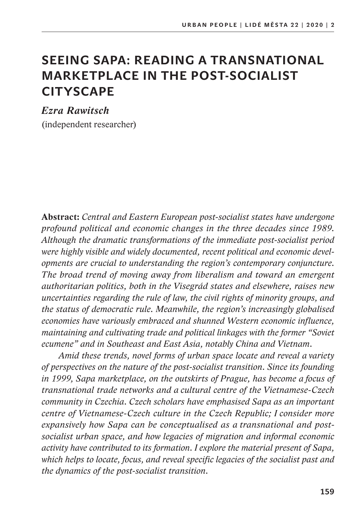# **SEEING SAPA: READING A TRANSNATIONAL MARKETPLACE IN THE POST-SOCIALIST CITYSCAPE**

*Ezra Rawitsch*  (independent researcher)

**Abstract:** *Central and Eastern European post-socialist states have undergone profound political and economic changes in the three decades since 1989. Although the dramatic transformations of the immediate post-socialist period were highly visible and widely documented, recent political and economic developments are crucial to understanding the region's contemporary conjuncture. The broad trend of moving away from liberalism and toward an emergent authoritarian politics, both in the Visegrád states and elsewhere, raises new uncertainties regarding the rule of law, the civil rights of minority groups, and the status of democratic rule. Meanwhile, the region's increasingly globalised economies have variously embraced and shunned Western economic influence, maintaining and cultivating trade and political linkages with the former "Soviet ecumene" and in Southeast and East Asia, notably China and Vietnam.* 

*Amid these trends, novel forms of urban space locate and reveal a variety of perspectives on the nature of the post-socialist transition. Since its founding in 1999, Sapa marketplace, on the outskirts of Prague, has become a focus of transnational trade networks and a cultural centre of the Vietnamese-Czech community in Czechia. Czech scholars have emphasised Sapa as an important centre of Vietnamese-Czech culture in the Czech Republic; I consider more expansively how Sapa can be conceptualised as a transnational and postsocialist urban space, and how legacies of migration and informal economic activity have contributed to its formation. I explore the material present of Sapa, which helps to locate, focus, and reveal specific legacies of the socialist past and the dynamics of the post-socialist transition.*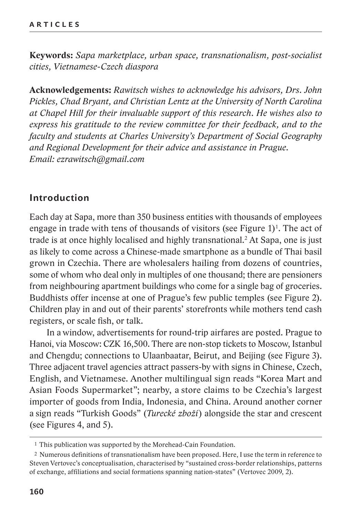**Keywords:** *Sapa marketplace, urban space, transnationalism, post-socialist cities, Vietnamese-Czech diaspora*

**Acknowledgements:** *Rawitsch wishes to acknowledge his advisors, Drs. John Pickles, Chad Bryant, and Christian Lentz at the University of North Carolina at Chapel Hill for their invaluable support of this research. He wishes also to express his gratitude to the review committee for their feedback, and to the faculty and students at Charles University's Department of Social Geography and Regional Development for their advice and assistance in Prague. Email: ezrawitsch@gmail.com*

### **Introduction**

Each day at Sapa, more than 350 business entities with thousands of employees engage in trade with tens of thousands of visitors (see Figure  $1)^1$ . The act of trade is at once highly localised and highly transnational.<sup>2</sup> At Sapa, one is just as likely to come across a Chinese-made smartphone as a bundle of Thai basil grown in Czechia. There are wholesalers hailing from dozens of countries, some of whom who deal only in multiples of one thousand; there are pensioners from neighbouring apartment buildings who come for a single bag of groceries. Buddhists offer incense at one of Prague's few public temples (see Figure 2). Children play in and out of their parents' storefronts while mothers tend cash registers, or scale fish, or talk.

In a window, advertisements for round-trip airfares are posted. Prague to Hanoi, via Moscow: CZK 16,500. There are non-stop tickets to Moscow, Istanbul and Chengdu; connections to Ulaanbaatar, Beirut, and Beijing (see Figure 3). Three adjacent travel agencies attract passers-by with signs in Chinese, Czech, English, and Vietnamese. Another multilingual sign reads "Korea Mart and Asian Foods Supermarket"; nearby, a store claims to be Czechia's largest importer of goods from India, Indonesia, and China. Around another corner a sign reads "Turkish Goods" (*Turecké zboží*) alongside the star and crescent (see Figures 4, and 5).

<sup>1</sup> This publication was supported by the Morehead-Cain Foundation.

<sup>2</sup> Numerous definitions of transnationalism have been proposed. Here, I use the term in reference to Steven Vertovec's conceptualisation, characterised by "sustained cross-border relationships, patterns of exchange, affiliations and social formations spanning nation-states" (Vertovec 2009, 2).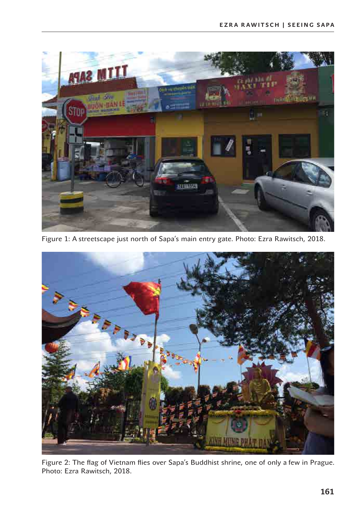

Figure 1: A streetscape just north of Sapa's main entry gate. Photo: Ezra Rawitsch, 2018.



Figure 2: The flag of Vietnam flies over Sapa's Buddhist shrine, one of only a few in Prague. Photo: Ezra Rawitsch, 2018.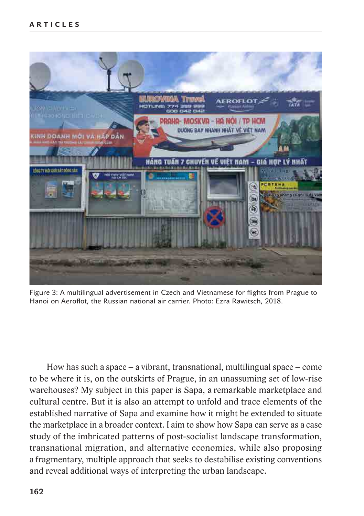

Figure 3: A multilingual advertisement in Czech and Vietnamese for flights from Prague to Hanoi on Aeroflot, the Russian national air carrier. Photo: Ezra Rawitsch, 2018.

How has such a space – a vibrant, transnational, multilingual space – come to be where it is, on the outskirts of Prague, in an unassuming set of low-rise warehouses? My subject in this paper is Sapa, a remarkable marketplace and cultural centre. But it is also an attempt to unfold and trace elements of the established narrative of Sapa and examine how it might be extended to situate the marketplace in a broader context. I aim to show how Sapa can serve as a case study of the imbricated patterns of post-socialist landscape transformation, transnational migration, and alternative economies, while also proposing a fragmentary, multiple approach that seeks to destabilise existing conventions and reveal additional ways of interpreting the urban landscape.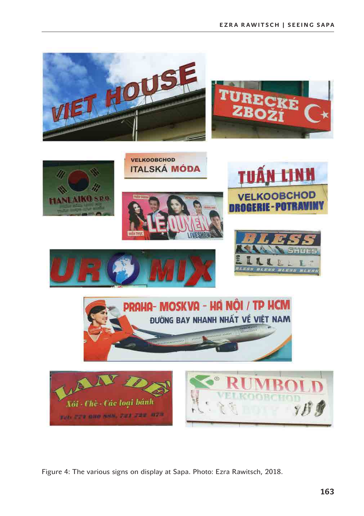

Figure 4: The various signs on display at Sapa. Photo: Ezra Rawitsch, 2018.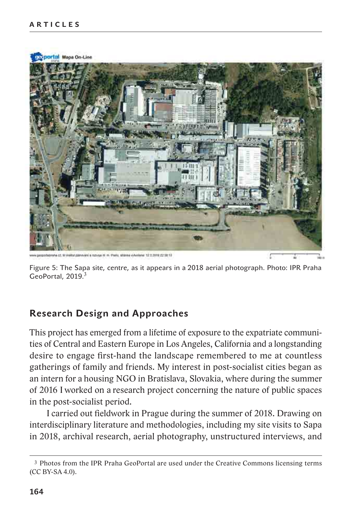

Figure 5: The Sapa site, centre, as it appears in a 2018 aerial photograph. Photo: IPR Praha GeoPortal, 2019.<sup>3</sup>

# **Research Design and Approaches**

This project has emerged from a lifetime of exposure to the expatriate communities of Central and Eastern Europe in Los Angeles, California and a longstanding desire to engage first-hand the landscape remembered to me at countless gatherings of family and friends. My interest in post-socialist cities began as an intern for a housing NGO in Bratislava, Slovakia, where during the summer of 2016 I worked on a research project concerning the nature of public spaces in the post-socialist period.

I carried out fieldwork in Prague during the summer of 2018. Drawing on interdisciplinary literature and methodologies, including my site visits to Sapa in 2018, archival research, aerial photography, unstructured interviews, and

<sup>3</sup> Photos from the IPR Praha GeoPortal are used under the Creative Commons licensing terms (CC BY-SA 4.0).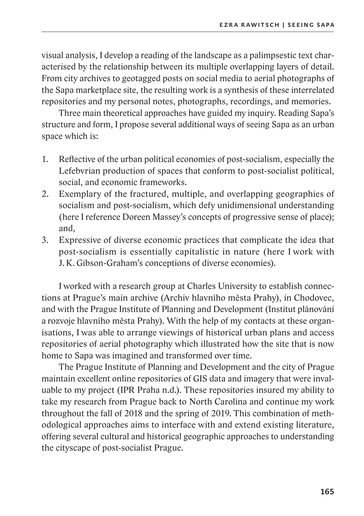visual analysis, I develop a reading of the landscape as a palimpsestic text characterised by the relationship between its multiple overlapping layers of detail. From city archives to geotagged posts on social media to aerial photographs of the Sapa marketplace site, the resulting work is a synthesis of these interrelated repositories and my personal notes, photographs, recordings, and memories.

Three main theoretical approaches have guided my inquiry. Reading Sapa's structure and form, I propose several additional ways of seeing Sapa as an urban space which is:

- 1. Reflective of the urban political economies of post-socialism, especially the Lefebvrian production of spaces that conform to post-socialist political, social, and economic frameworks.
- 2. Exemplary of the fractured, multiple, and overlapping geographies of socialism and post-socialism, which defy unidimensional understanding (here I reference Doreen Massey's concepts of progressive sense of place); and,
- 3. Expressive of diverse economic practices that complicate the idea that post-socialism is essentially capitalistic in nature (here I work with J. K. Gibson-Graham's conceptions of diverse economies).

I worked with a research group at Charles University to establish connections at Prague's main archive (Archiv hlavního města Prahy), in Chodovec, and with the Prague Institute of Planning and Development (Institut plánování a rozvoje hlavního města Prahy). With the help of my contacts at these organisations, I was able to arrange viewings of historical urban plans and access repositories of aerial photography which illustrated how the site that is now home to Sapa was imagined and transformed over time.

The Prague Institute of Planning and Development and the city of Prague maintain excellent online repositories of GIS data and imagery that were invaluable to my project (IPR Praha n.d.). These repositories insured my ability to take my research from Prague back to North Carolina and continue my work throughout the fall of 2018 and the spring of 2019. This combination of methodological approaches aims to interface with and extend existing literature, offering several cultural and historical geographic approaches to understanding the cityscape of post-socialist Prague.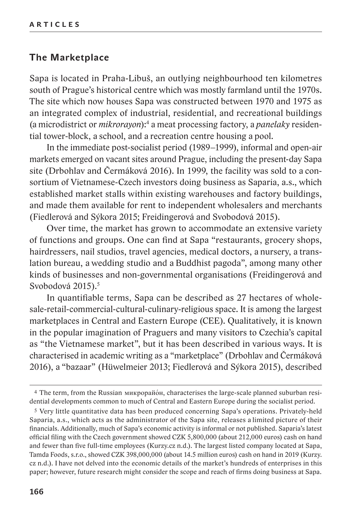## **The Marketplace**

Sapa is located in Praha-Libuš, an outlying neighbourhood ten kilometres south of Prague's historical centre which was mostly farmland until the 1970s. The site which now houses Sapa was constructed between 1970 and 1975 as an integrated complex of industrial, residential, and recreational buildings (a microdistrict or *mikrorayon*):4 a meat processing factory, a *panelaky* residential tower-block, a school, and a recreation centre housing a pool.

In the immediate post-socialist period (1989–1999), informal and open-air markets emerged on vacant sites around Prague, including the present-day Sapa site (Drbohlav and Čermáková 2016). In 1999, the facility was sold to a consortium of Vietnamese-Czech investors doing business as Saparia, a.s., which established market stalls within existing warehouses and factory buildings, and made them available for rent to independent wholesalers and merchants (Fiedlerová and Sýkora 2015; Freidingerová and Svobodová 2015).

Over time, the market has grown to accommodate an extensive variety of functions and groups. One can find at Sapa "restaurants, grocery shops, hairdressers, nail studios, travel agencies, medical doctors, a nursery, a translation bureau, a wedding studio and a Buddhist pagoda", among many other kinds of businesses and non-governmental organisations (Freidingerová and Svobodová 2015).<sup>5</sup>

In quantifiable terms, Sapa can be described as 27 hectares of wholesale-retail-commercial-cultural-culinary-religious space. It is among the largest marketplaces in Central and Eastern Europe (CEE). Qualitatively, it is known in the popular imagination of Praguers and many visitors to Czechia's capital as "the Vietnamese market", but it has been described in various ways. It is characterised in academic writing as a "marketplace" (Drbohlav and Čermáková 2016), a "bazaar" (Hüwelmeier 2013; Fiedlerová and Sýkora 2015), described

<sup>&</sup>lt;sup>4</sup> The term, from the Russian микрорайо́н, characterises the large-scale planned suburban residential developments common to much of Central and Eastern Europe during the socialist period.

<sup>5</sup> Very little quantitative data has been produced concerning Sapa's operations. Privately-held Saparia, a.s., which acts as the administrator of the Sapa site, releases a limited picture of their financials. Additionally, much of Sapa's economic activity is informal or not published. Saparia's latest official filing with the Czech government showed CZK 5,800,000 (about 212,000 euros) cash on hand and fewer than five full-time employees (Kurzy.cz n.d.). The largest listed company located at Sapa, Tamda Foods, s.r.o., showed CZK 398,000,000 (about 14.5 million euros) cash on hand in 2019 (Kurzy. cz n.d.). I have not delved into the economic details of the market's hundreds of enterprises in this paper; however, future research might consider the scope and reach of firms doing business at Sapa.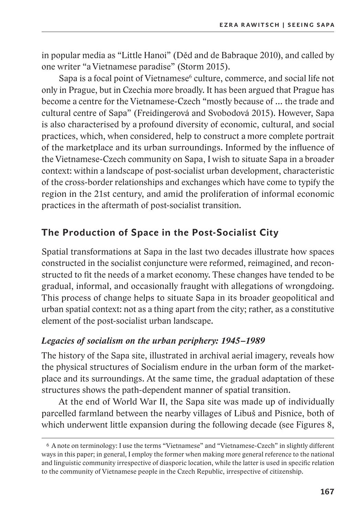in popular media as "Little Hanoi" (Děd and de Babraque 2010), and called by one writer "a Vietnamese paradise" (Storm 2015).

Sapa is a focal point of Vietnamese<sup>6</sup> culture, commerce, and social life not only in Prague, but in Czechia more broadly. It has been argued that Prague has become a centre for the Vietnamese-Czech "mostly because of … the trade and cultural centre of Sapa" (Freidingerová and Svobodová 2015). However, Sapa is also characterised by a profound diversity of economic, cultural, and social practices, which, when considered, help to construct a more complete portrait of the marketplace and its urban surroundings. Informed by the influence of the Vietnamese-Czech community on Sapa, I wish to situate Sapa in a broader context: within a landscape of post-socialist urban development, characteristic of the cross-border relationships and exchanges which have come to typify the region in the 21st century, and amid the proliferation of informal economic practices in the aftermath of post-socialist transition.

# **The Production of Space in the Post-Socialist City**

Spatial transformations at Sapa in the last two decades illustrate how spaces constructed in the socialist conjuncture were reformed, reimagined, and reconstructed to fit the needs of a market economy. These changes have tended to be gradual, informal, and occasionally fraught with allegations of wrongdoing. This process of change helps to situate Sapa in its broader geopolitical and urban spatial context: not as a thing apart from the city; rather, as a constitutive element of the post-socialist urban landscape.

# *Legacies of socialism on the urban periphery: 1945–1989*

The history of the Sapa site, illustrated in archival aerial imagery, reveals how the physical structures of Socialism endure in the urban form of the marketplace and its surroundings. At the same time, the gradual adaptation of these structures shows the path-dependent manner of spatial transition.

At the end of World War II, the Sapa site was made up of individually parcelled farmland between the nearby villages of Libuš and Pisnice, both of which underwent little expansion during the following decade (see Figures 8,

<sup>6</sup> A note on terminology: I use the terms "Vietnamese" and "Vietnamese-Czech" in slightly different ways in this paper; in general, I employ the former when making more general reference to the national and linguistic community irrespective of diasporic location, while the latter is used in specific relation to the community of Vietnamese people in the Czech Republic, irrespective of citizenship.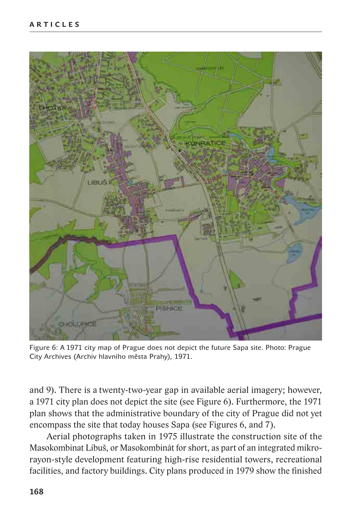

Figure 6: A 1971 city map of Prague does not depict the future Sapa site. Photo: Prague City Archives (Archiv hlavního města Prahy), 1971.

and 9). There is a twenty-two-year gap in available aerial imagery; however, a 1971 city plan does not depict the site (see Figure 6). Furthermore, the 1971 plan shows that the administrative boundary of the city of Prague did not yet encompass the site that today houses Sapa (see Figures 6, and 7).

Aerial photographs taken in 1975 illustrate the construction site of the Masokombinat Libuš, or Masokombinát for short, as part of an integrated mikrorayon-style development featuring high-rise residential towers, recreational facilities, and factory buildings. City plans produced in 1979 show the finished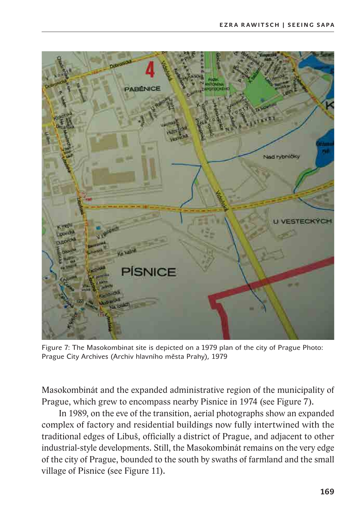

Figure 7: The Masokombinat site is depicted on a 1979 plan of the city of Prague Photo: Prague City Archives (Archiv hlavního města Prahy), 1979

Masokombinát and the expanded administrative region of the municipality of Prague, which grew to encompass nearby Pisnice in 1974 (see Figure 7).

In 1989, on the eve of the transition, aerial photographs show an expanded complex of factory and residential buildings now fully intertwined with the traditional edges of Libuš, officially a district of Prague, and adjacent to other industrial-style developments. Still, the Masokombinát remains on the very edge of the city of Prague, bounded to the south by swaths of farmland and the small village of Pisnice (see Figure 11).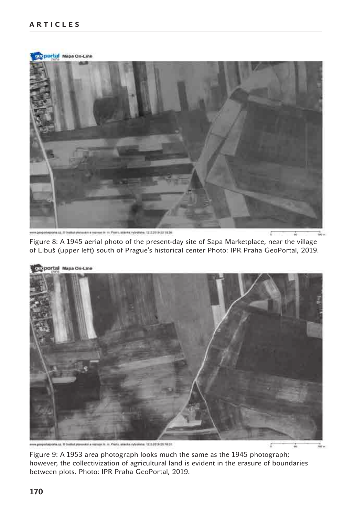carportal Mapa On-Line che sa. Il frastivi plenavano e razvoje so on Pratoy, attienia vytvatikne. 12,2.2019 27.18.36.

Figure 8: A 1945 aerial photo of the present-day site of Sapa Marketplace, near the village of Libuš (upper left) south of Prague's historical center Photo: IPR Praha GeoPortal, 2019.



12 2 2010 23 10 31

Figure 9: A 1953 area photograph looks much the same as the 1945 photograph; however, the collectivization of agricultural land is evident in the erasure of boundaries between plots. Photo: IPR Praha GeoPortal, 2019.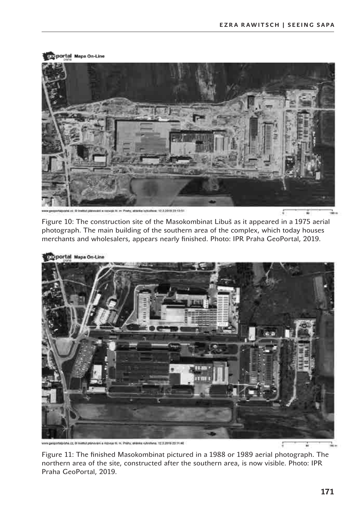

1232019101351

Figure 10: The construction site of the Masokombinat Libuš as it appeared in a 1975 aerial photograph. The main building of the southern area of the complex, which today houses merchants and wholesalers, appears nearly finished. Photo: IPR Praha GeoPortal, 2019.



sporta.cz, 0 lniatb/ psinovaní a rezvoje til in. Prahy, alizolo výtvořene: 12.5.2019 23.11.46

Figure 11: The finished Masokombinat pictured in a 1988 or 1989 aerial photograph. The northern area of the site, constructed after the southern area, is now visible. Photo: IPR Praha GeoPortal, 2019.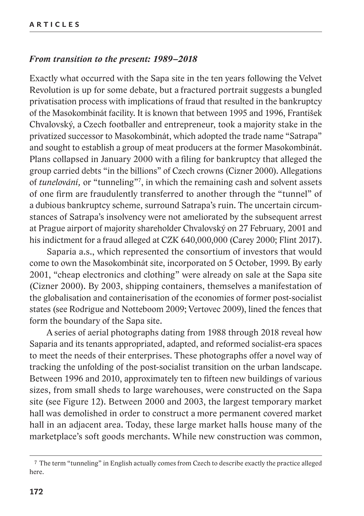#### *From transition to the present: 1989–2018*

Exactly what occurred with the Sapa site in the ten years following the Velvet Revolution is up for some debate, but a fractured portrait suggests a bungled privatisation process with implications of fraud that resulted in the bankruptcy of the Masokombinát facility. It is known that between 1995 and 1996, František Chvalovský, a Czech footballer and entrepreneur, took a majority stake in the privatized successor to Masokombinát, which adopted the trade name "Satrapa" and sought to establish a group of meat producers at the former Masokombinát. Plans collapsed in January 2000 with a filing for bankruptcy that alleged the group carried debts "in the billions" of Czech crowns (Cizner 2000). Allegations of *tunelování,* or "tunneling"7 , in which the remaining cash and solvent assets of one firm are fraudulently transferred to another through the "tunnel" of a dubious bankruptcy scheme, surround Satrapa's ruin. The uncertain circumstances of Satrapa's insolvency were not ameliorated by the subsequent arrest at Prague airport of majority shareholder Chvalovský on 27 February, 2001 and his indictment for a fraud alleged at CZK 640,000,000 (Carey 2000; Flint 2017).

Saparia a.s., which represented the consortium of investors that would come to own the Masokombinát site, incorporated on 5 October, 1999. By early 2001, "cheap electronics and clothing" were already on sale at the Sapa site (Cizner 2000). By 2003, shipping containers, themselves a manifestation of the globalisation and containerisation of the economies of former post-socialist states (see Rodrigue and Notteboom 2009; Vertovec 2009), lined the fences that form the boundary of the Sapa site.

A series of aerial photographs dating from 1988 through 2018 reveal how Saparia and its tenants appropriated, adapted, and reformed socialist-era spaces to meet the needs of their enterprises. These photographs offer a novel way of tracking the unfolding of the post-socialist transition on the urban landscape. Between 1996 and 2010, approximately ten to fifteen new buildings of various sizes, from small sheds to large warehouses, were constructed on the Sapa site (see Figure 12). Between 2000 and 2003, the largest temporary market hall was demolished in order to construct a more permanent covered market hall in an adjacent area. Today, these large market halls house many of the marketplace's soft goods merchants. While new construction was common,

<sup>7</sup> The term "tunneling" in English actually comes from Czech to describe exactly the practice alleged here.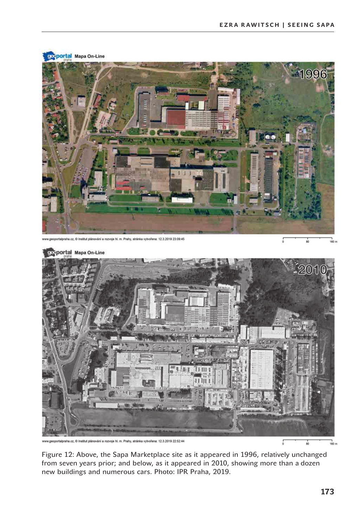

www.geoportalpraha.cz, @ Institut plánování a rozvoje hl. m. Prahy, stránka vytvořena: 12.3.2019 22:52:44

1<br>50 m

Figure 12: Above, the Sapa Marketplace site as it appeared in 1996, relatively unchanged from seven years prior; and below, as it appeared in 2010, showing more than a dozen new buildings and numerous cars. Photo: IPR Praha, 2019.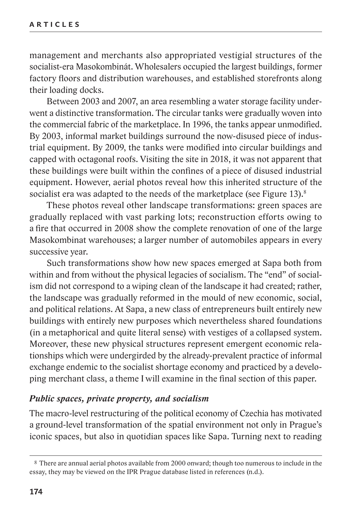management and merchants also appropriated vestigial structures of the socialist-era Masokombinát. Wholesalers occupied the largest buildings, former factory floors and distribution warehouses, and established storefronts along their loading docks.

Between 2003 and 2007, an area resembling a water storage facility underwent a distinctive transformation. The circular tanks were gradually woven into the commercial fabric of the marketplace. In 1996, the tanks appear unmodified. By 2003, informal market buildings surround the now-disused piece of industrial equipment. By 2009, the tanks were modified into circular buildings and capped with octagonal roofs. Visiting the site in 2018, it was not apparent that these buildings were built within the confines of a piece of disused industrial equipment. However, aerial photos reveal how this inherited structure of the socialist era was adapted to the needs of the marketplace (see Figure 13).<sup>8</sup>

These photos reveal other landscape transformations: green spaces are gradually replaced with vast parking lots; reconstruction efforts owing to a fire that occurred in 2008 show the complete renovation of one of the large Masokombinat warehouses; a larger number of automobiles appears in every successive year.

Such transformations show how new spaces emerged at Sapa both from within and from without the physical legacies of socialism. The "end" of socialism did not correspond to a wiping clean of the landscape it had created; rather, the landscape was gradually reformed in the mould of new economic, social, and political relations. At Sapa, a new class of entrepreneurs built entirely new buildings with entirely new purposes which nevertheless shared foundations (in a metaphorical and quite literal sense) with vestiges of a collapsed system. Moreover, these new physical structures represent emergent economic relationships which were undergirded by the already-prevalent practice of informal exchange endemic to the socialist shortage economy and practiced by a developing merchant class, a theme I will examine in the final section of this paper.

#### *Public spaces, private property, and socialism*

The macro-level restructuring of the political economy of Czechia has motivated a ground-level transformation of the spatial environment not only in Prague's iconic spaces, but also in quotidian spaces like Sapa. Turning next to reading

<sup>8</sup> There are annual aerial photos available from 2000 onward; though too numerous to include in the essay, they may be viewed on the IPR Prague database listed in references (n.d.).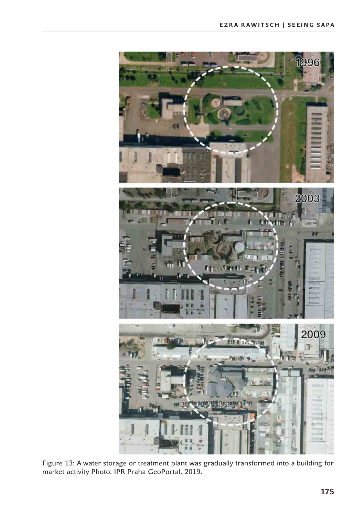

Figure 13: A water storage or treatment plant was gradually transformed into a building for market activity Photo: IPR Praha GeoPortal, 2019.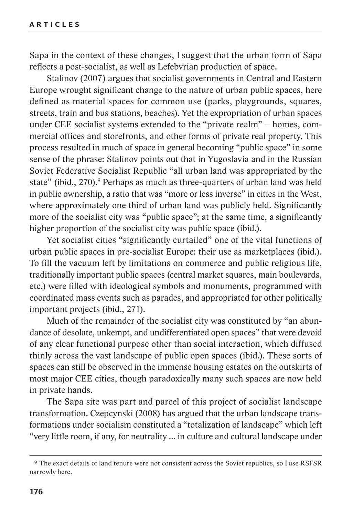Sapa in the context of these changes, I suggest that the urban form of Sapa reflects a post-socialist, as well as Lefebvrian production of space.

Stalinov (2007) argues that socialist governments in Central and Eastern Europe wrought significant change to the nature of urban public spaces, here defined as material spaces for common use (parks, playgrounds, squares, streets, train and bus stations, beaches). Yet the expropriation of urban spaces under CEE socialist systems extended to the "private realm" – homes, commercial offices and storefronts, and other forms of private real property. This process resulted in much of space in general becoming "public space" in some sense of the phrase: Stalinov points out that in Yugoslavia and in the Russian Soviet Federative Socialist Republic "all urban land was appropriated by the state" (ibid., 270).<sup>9</sup> Perhaps as much as three-quarters of urban land was held in public ownership, a ratio that was "more or less inverse" in cities in the West, where approximately one third of urban land was publicly held. Significantly more of the socialist city was "public space"; at the same time, a significantly higher proportion of the socialist city was public space (ibid.).

Yet socialist cities "significantly curtailed" one of the vital functions of urban public spaces in pre-socialist Europe: their use as marketplaces (ibid.). To fill the vacuum left by limitations on commerce and public religious life, traditionally important public spaces (central market squares, main boulevards, etc.) were filled with ideological symbols and monuments, programmed with coordinated mass events such as parades, and appropriated for other politically important projects (ibid., 271).

Much of the remainder of the socialist city was constituted by "an abundance of desolate, unkempt, and undifferentiated open spaces" that were devoid of any clear functional purpose other than social interaction, which diffused thinly across the vast landscape of public open spaces (ibid.). These sorts of spaces can still be observed in the immense housing estates on the outskirts of most major CEE cities, though paradoxically many such spaces are now held in private hands.

The Sapa site was part and parcel of this project of socialist landscape transformation. Czepcynski (2008) has argued that the urban landscape transformations under socialism constituted a "totalization of landscape" which left "very little room, if any, for neutrality ... in culture and cultural landscape under

<sup>9</sup> The exact details of land tenure were not consistent across the Soviet republics, so I use RSFSR narrowly here.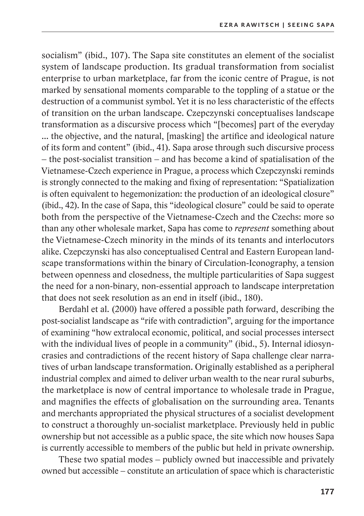socialism" (ibid., 107). The Sapa site constitutes an element of the socialist system of landscape production. Its gradual transformation from socialist enterprise to urban marketplace, far from the iconic centre of Prague, is not marked by sensational moments comparable to the toppling of a statue or the destruction of a communist symbol. Yet it is no less characteristic of the effects of transition on the urban landscape. Czepczynski conceptualises landscape transformation as a discursive process which "[becomes] part of the everyday ... the objective, and the natural, [masking] the artifice and ideological nature of its form and content" (ibid., 41). Sapa arose through such discursive process – the post-socialist transition – and has become a kind of spatialisation of the Vietnamese-Czech experience in Prague, a process which Czepczynski reminds is strongly connected to the making and fixing of representation: "Spatialization is often equivalent to hegemonization: the production of an ideological closure" (ibid., 42). In the case of Sapa, this "ideological closure" could be said to operate both from the perspective of the Vietnamese-Czech and the Czechs: more so than any other wholesale market, Sapa has come to *represent* something about the Vietnamese-Czech minority in the minds of its tenants and interlocutors alike. Czepczynski has also conceptualised Central and Eastern European landscape transformations within the binary of Circulation-Iconography, a tension between openness and closedness, the multiple particularities of Sapa suggest the need for a non-binary, non-essential approach to landscape interpretation that does not seek resolution as an end in itself (ibid., 180).

Berdahl et al. (2000) have offered a possible path forward, describing the post-socialist landscape as "rife with contradiction", arguing for the importance of examining "how extralocal economic, political, and social processes intersect with the individual lives of people in a community" (ibid., 5). Internal idiosyncrasies and contradictions of the recent history of Sapa challenge clear narratives of urban landscape transformation. Originally established as a peripheral industrial complex and aimed to deliver urban wealth to the near rural suburbs, the marketplace is now of central importance to wholesale trade in Prague, and magnifies the effects of globalisation on the surrounding area. Tenants and merchants appropriated the physical structures of a socialist development to construct a thoroughly un-socialist marketplace. Previously held in public ownership but not accessible as a public space, the site which now houses Sapa is currently accessible to members of the public but held in private ownership.

These two spatial modes – publicly owned but inaccessible and privately owned but accessible – constitute an articulation of space which is characteristic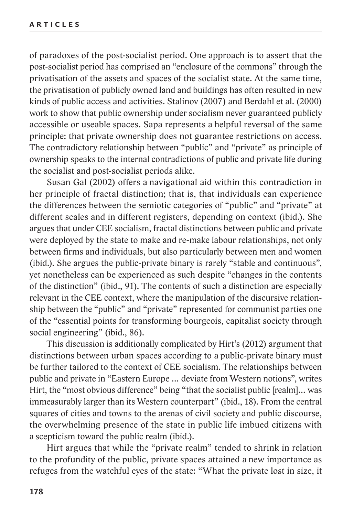of paradoxes of the post-socialist period. One approach is to assert that the post-socialist period has comprised an "enclosure of the commons" through the privatisation of the assets and spaces of the socialist state. At the same time, the privatisation of publicly owned land and buildings has often resulted in new kinds of public access and activities. Stalinov (2007) and Berdahl et al. (2000) work to show that public ownership under socialism never guaranteed publicly accessible or useable spaces. Sapa represents a helpful reversal of the same principle: that private ownership does not guarantee restrictions on access. The contradictory relationship between "public" and "private" as principle of ownership speaks to the internal contradictions of public and private life during the socialist and post-socialist periods alike.

Susan Gal (2002) offers a navigational aid within this contradiction in her principle of fractal distinction; that is, that individuals can experience the differences between the semiotic categories of "public" and "private" at different scales and in different registers, depending on context (ibid.). She argues that under CEE socialism, fractal distinctions between public and private were deployed by the state to make and re-make labour relationships, not only between firms and individuals, but also particularly between men and women (ibid.). She argues the public-private binary is rarely "stable and continuous", yet nonetheless can be experienced as such despite "changes in the contents of the distinction" (ibid., 91). The contents of such a distinction are especially relevant in the CEE context, where the manipulation of the discursive relationship between the "public" and "private" represented for communist parties one of the "essential points for transforming bourgeois, capitalist society through social engineering" (ibid., 86).

This discussion is additionally complicated by Hirt's (2012) argument that distinctions between urban spaces according to a public-private binary must be further tailored to the context of CEE socialism. The relationships between public and private in "Eastern Europe … deviate from Western notions", writes Hirt, the "most obvious difference" being "that the socialist public [realm]… was immeasurably larger than its Western counterpart" (ibid., 18). From the central squares of cities and towns to the arenas of civil society and public discourse, the overwhelming presence of the state in public life imbued citizens with a scepticism toward the public realm (ibid.).

Hirt argues that while the "private realm" tended to shrink in relation to the profundity of the public, private spaces attained a new importance as refuges from the watchful eyes of the state: "What the private lost in size, it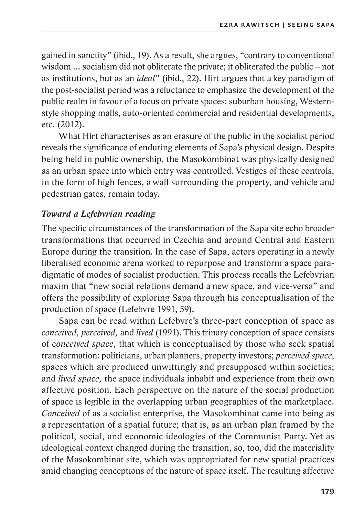gained in sanctity" (ibid., 19). As a result, she argues, "contrary to conventional wisdom … socialism did not obliterate the private; it obliterated the public – not as institutions, but as an *ideal*" (ibid., 22). Hirt argues that a key paradigm of the post-socialist period was a reluctance to emphasize the development of the public realm in favour of a focus on private spaces: suburban housing, Westernstyle shopping malls, auto-oriented commercial and residential developments, etc. (2012).

What Hirt characterises as an erasure of the public in the socialist period reveals the significance of enduring elements of Sapa's physical design. Despite being held in public ownership, the Masokombinat was physically designed as an urban space into which entry was controlled. Vestiges of these controls, in the form of high fences, a wall surrounding the property, and vehicle and pedestrian gates, remain today.

## *Toward a Lefebvrian reading*

The specific circumstances of the transformation of the Sapa site echo broader transformations that occurred in Czechia and around Central and Eastern Europe during the transition. In the case of Sapa, actors operating in a newly liberalised economic arena worked to repurpose and transform a space paradigmatic of modes of socialist production. This process recalls the Lefebvrian maxim that "new social relations demand a new space, and vice-versa" and offers the possibility of exploring Sapa through his conceptualisation of the production of space (Lefebvre 1991, 59).

Sapa can be read within Lefebvre's three-part conception of space as *conceived, perceived,* and *lived* (1991). This trinary conception of space consists of c*onceived space,* that which is conceptualised by those who seek spatial transformation: politicians, urban planners, property investors; *perceived space*, spaces which are produced unwittingly and presupposed within societies; and *lived space,* the space individuals inhabit and experience from their own affective position. Each perspective on the nature of the social production of space is legible in the overlapping urban geographies of the marketplace. *Conceived* of as a socialist enterprise, the Masokombinat came into being as a representation of a spatial future; that is, as an urban plan framed by the political, social, and economic ideologies of the Communist Party. Yet as ideological context changed during the transition, so, too, did the materiality of the Masokombinat site, which was appropriated for new spatial practices amid changing conceptions of the nature of space itself. The resulting affective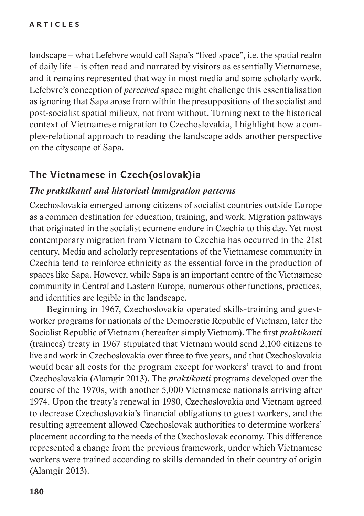landscape – what Lefebvre would call Sapa's "lived space", i.e. the spatial realm of daily life – is often read and narrated by visitors as essentially Vietnamese, and it remains represented that way in most media and some scholarly work. Lefebvre's conception of *perceived* space might challenge this essentialisation as ignoring that Sapa arose from within the presuppositions of the socialist and post-socialist spatial milieux, not from without. Turning next to the historical context of Vietnamese migration to Czechoslovakia, I highlight how a complex-relational approach to reading the landscape adds another perspective on the cityscape of Sapa.

## **The Vietnamese in Czech(oslovak)ia**

#### *The praktikanti and historical immigration patterns*

Czechoslovakia emerged among citizens of socialist countries outside Europe as a common destination for education, training, and work. Migration pathways that originated in the socialist ecumene endure in Czechia to this day. Yet most contemporary migration from Vietnam to Czechia has occurred in the 21st century. Media and scholarly representations of the Vietnamese community in Czechia tend to reinforce ethnicity as the essential force in the production of spaces like Sapa. However, while Sapa is an important centre of the Vietnamese community in Central and Eastern Europe, numerous other functions, practices, and identities are legible in the landscape.

Beginning in 1967, Czechoslovakia operated skills-training and guestworker programs for nationals of the Democratic Republic of Vietnam, later the Socialist Republic of Vietnam (hereafter simply Vietnam). The first *praktikanti*  (trainees) treaty in 1967 stipulated that Vietnam would send 2,100 citizens to live and work in Czechoslovakia over three to five years, and that Czechoslovakia would bear all costs for the program except for workers' travel to and from Czechoslovakia (Alamgir 2013). The *praktikanti* programs developed over the course of the 1970s, with another 5,000 Vietnamese nationals arriving after 1974. Upon the treaty's renewal in 1980, Czechoslovakia and Vietnam agreed to decrease Czechoslovakia's financial obligations to guest workers, and the resulting agreement allowed Czechoslovak authorities to determine workers' placement according to the needs of the Czechoslovak economy. This difference represented a change from the previous framework, under which Vietnamese workers were trained according to skills demanded in their country of origin (Alamgir 2013).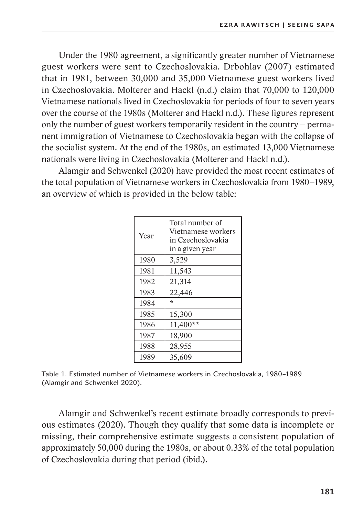Under the 1980 agreement, a significantly greater number of Vietnamese guest workers were sent to Czechoslovakia. Drbohlav (2007) estimated that in 1981, between 30,000 and 35,000 Vietnamese guest workers lived in Czechoslovakia. Molterer and Hackl (n.d.) claim that 70,000 to 120,000 Vietnamese nationals lived in Czechoslovakia for periods of four to seven years over the course of the 1980s (Molterer and Hackl n.d.). These figures represent only the number of guest workers temporarily resident in the country – permanent immigration of Vietnamese to Czechoslovakia began with the collapse of the socialist system. At the end of the 1980s, an estimated 13,000 Vietnamese nationals were living in Czechoslovakia (Molterer and Hackl n.d.).

Alamgir and Schwenkel (2020) have provided the most recent estimates of the total population of Vietnamese workers in Czechoslovakia from 1980–1989, an overview of which is provided in the below table:

| Year | Total number of<br>Vietnamese workers<br>in Czechoslovakia<br>in a given year |  |
|------|-------------------------------------------------------------------------------|--|
| 1980 | 3,529                                                                         |  |
| 1981 | 11,543                                                                        |  |
| 1982 | 21,314                                                                        |  |
| 1983 | 22,446                                                                        |  |
| 1984 | ÷                                                                             |  |
| 1985 | 15,300                                                                        |  |
| 1986 | $11,400**$                                                                    |  |
| 1987 | 18,900                                                                        |  |
| 1988 | 28,955                                                                        |  |
| 1989 | 35,609                                                                        |  |

Table 1. Estimated number of Vietnamese workers in Czechoslovakia, 1980–1989 (Alamgir and Schwenkel 2020).

Alamgir and Schwenkel's recent estimate broadly corresponds to previous estimates (2020). Though they qualify that some data is incomplete or missing, their comprehensive estimate suggests a consistent population of approximately 50,000 during the 1980s, or about 0.33% of the total population of Czechoslovakia during that period (ibid.).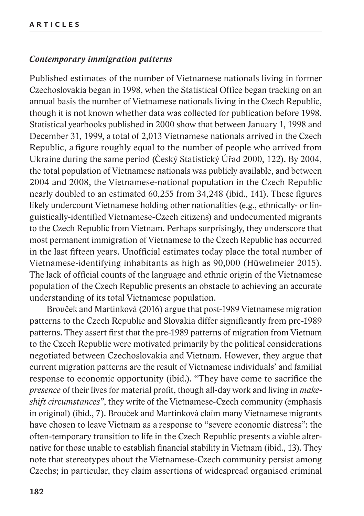#### *Contemporary immigration patterns*

Published estimates of the number of Vietnamese nationals living in former Czechoslovakia began in 1998, when the Statistical Office began tracking on an annual basis the number of Vietnamese nationals living in the Czech Republic, though it is not known whether data was collected for publication before 1998. Statistical yearbooks published in 2000 show that between January 1, 1998 and December 31, 1999, a total of 2,013 Vietnamese nationals arrived in the Czech Republic, a figure roughly equal to the number of people who arrived from Ukraine during the same period (Český Statistický Úřad 2000, 122). By 2004, the total population of Vietnamese nationals was publicly available, and between 2004 and 2008, the Vietnamese-national population in the Czech Republic nearly doubled to an estimated 60,255 from 34,248 (ibid., 141). These figures likely undercount Vietnamese holding other nationalities (e.g., ethnically- or linguistically-identified Vietnamese-Czech citizens) and undocumented migrants to the Czech Republic from Vietnam. Perhaps surprisingly, they underscore that most permanent immigration of Vietnamese to the Czech Republic has occurred in the last fifteen years. Unofficial estimates today place the total number of Vietnamese-identifying inhabitants as high as 90,000 (Hüwelmeier 2015). The lack of official counts of the language and ethnic origin of the Vietnamese population of the Czech Republic presents an obstacle to achieving an accurate understanding of its total Vietnamese population.

Brouček and Martínková (2016) argue that post-1989 Vietnamese migration patterns to the Czech Republic and Slovakia differ significantly from pre-1989 patterns. They assert first that the pre-1989 patterns of migration from Vietnam to the Czech Republic were motivated primarily by the political considerations negotiated between Czechoslovakia and Vietnam. However, they argue that current migration patterns are the result of Vietnamese individuals' and familial response to economic opportunity (ibid.). "They have come to sacrifice the *presence* of their lives for material profit, though all-day work and living in *makeshift circumstances*", they write of the Vietnamese-Czech community (emphasis in original) (ibid., 7). Brouček and Martínková claim many Vietnamese migrants have chosen to leave Vietnam as a response to "severe economic distress": the often-temporary transition to life in the Czech Republic presents a viable alternative for those unable to establish financial stability in Vietnam (ibid., 13). They note that stereotypes about the Vietnamese-Czech community persist among Czechs; in particular, they claim assertions of widespread organised criminal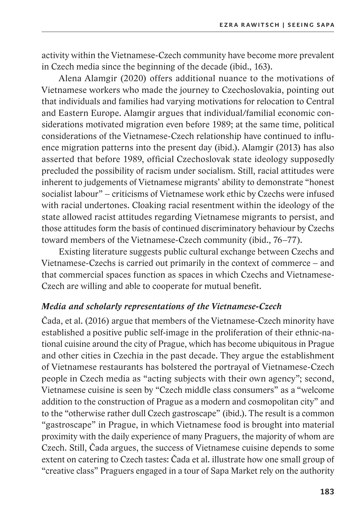activity within the Vietnamese-Czech community have become more prevalent in Czech media since the beginning of the decade (ibid., 163).

Alena Alamgir (2020) offers additional nuance to the motivations of Vietnamese workers who made the journey to Czechoslovakia, pointing out that individuals and families had varying motivations for relocation to Central and Eastern Europe. Alamgir argues that individual/familial economic considerations motivated migration even before 1989; at the same time, political considerations of the Vietnamese-Czech relationship have continued to influence migration patterns into the present day (ibid.). Alamgir (2013) has also asserted that before 1989, official Czechoslovak state ideology supposedly precluded the possibility of racism under socialism. Still, racial attitudes were inherent to judgements of Vietnamese migrants' ability to demonstrate "honest socialist labour" – criticisms of Vietnamese work ethic by Czechs were infused with racial undertones. Cloaking racial resentment within the ideology of the state allowed racist attitudes regarding Vietnamese migrants to persist, and those attitudes form the basis of continued discriminatory behaviour by Czechs toward members of the Vietnamese-Czech community (ibid., 76–77).

Existing literature suggests public cultural exchange between Czechs and Vietnamese-Czechs is carried out primarily in the context of commerce – and that commercial spaces function as spaces in which Czechs and Vietnamese-Czech are willing and able to cooperate for mutual benefit.

### *Media and scholarly representations of the Vietnamese-Czech*

Čada, et al. (2016) argue that members of the Vietnamese-Czech minority have established a positive public self-image in the proliferation of their ethnic-national cuisine around the city of Prague, which has become ubiquitous in Prague and other cities in Czechia in the past decade. They argue the establishment of Vietnamese restaurants has bolstered the portrayal of Vietnamese-Czech people in Czech media as "acting subjects with their own agency"; second, Vietnamese cuisine is seen by "Czech middle class consumers" as a "welcome addition to the construction of Prague as a modern and cosmopolitan city" and to the "otherwise rather dull Czech gastroscape" (ibid.). The result is a common "gastroscape" in Prague, in which Vietnamese food is brought into material proximity with the daily experience of many Praguers, the majority of whom are Czech. Still, Čada argues, the success of Vietnamese cuisine depends to some extent on catering to Czech tastes: Čada et al. illustrate how one small group of "creative class" Praguers engaged in a tour of Sapa Market rely on the authority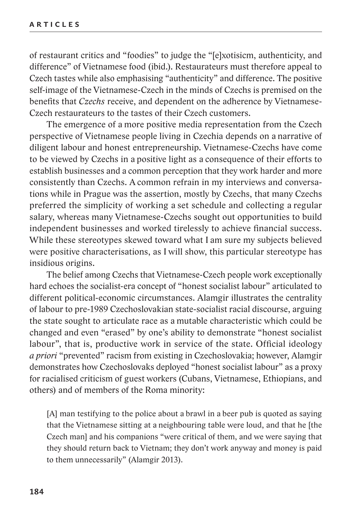of restaurant critics and "foodies" to judge the "[e]xotisicm, authenticity, and difference" of Vietnamese food (ibid.). Restaurateurs must therefore appeal to Czech tastes while also emphasising "authenticity" and difference. The positive self-image of the Vietnamese-Czech in the minds of Czechs is premised on the benefits that *Czechs* receive, and dependent on the adherence by Vietnamese-Czech restaurateurs to the tastes of their Czech customers.

The emergence of a more positive media representation from the Czech perspective of Vietnamese people living in Czechia depends on a narrative of diligent labour and honest entrepreneurship. Vietnamese-Czechs have come to be viewed by Czechs in a positive light as a consequence of their efforts to establish businesses and a common perception that they work harder and more consistently than Czechs. A common refrain in my interviews and conversations while in Prague was the assertion, mostly by Czechs, that many Czechs preferred the simplicity of working a set schedule and collecting a regular salary, whereas many Vietnamese-Czechs sought out opportunities to build independent businesses and worked tirelessly to achieve financial success. While these stereotypes skewed toward what I am sure my subjects believed were positive characterisations, as I will show, this particular stereotype has insidious origins.

The belief among Czechs that Vietnamese-Czech people work exceptionally hard echoes the socialist-era concept of "honest socialist labour" articulated to different political-economic circumstances. Alamgir illustrates the centrality of labour to pre-1989 Czechoslovakian state-socialist racial discourse, arguing the state sought to articulate race as a mutable characteristic which could be changed and even "erased" by one's ability to demonstrate "honest socialist labour", that is, productive work in service of the state. Official ideology *a priori* "prevented" racism from existing in Czechoslovakia; however, Alamgir demonstrates how Czechoslovaks deployed "honest socialist labour" as a proxy for racialised criticism of guest workers (Cubans, Vietnamese, Ethiopians, and others) and of members of the Roma minority:

[A] man testifying to the police about a brawl in a beer pub is quoted as saying that the Vietnamese sitting at a neighbouring table were loud, and that he [the Czech man] and his companions "were critical of them, and we were saying that they should return back to Vietnam; they don't work anyway and money is paid to them unnecessarily" (Alamgir 2013).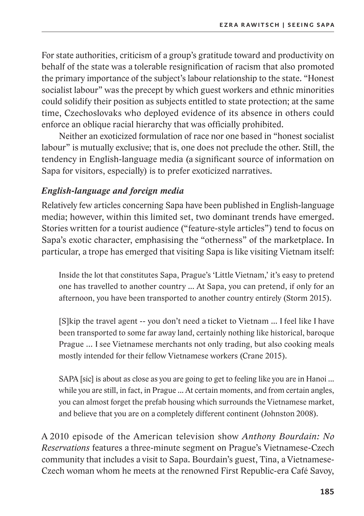For state authorities, criticism of a group's gratitude toward and productivity on behalf of the state was a tolerable resignification of racism that also promoted the primary importance of the subject's labour relationship to the state. "Honest socialist labour" was the precept by which guest workers and ethnic minorities could solidify their position as subjects entitled to state protection; at the same time, Czechoslovaks who deployed evidence of its absence in others could enforce an oblique racial hierarchy that was officially prohibited.

Neither an exoticized formulation of race nor one based in "honest socialist labour" is mutually exclusive; that is, one does not preclude the other. Still, the tendency in English-language media (a significant source of information on Sapa for visitors, especially) is to prefer exoticized narratives.

# *English-language and foreign media*

Relatively few articles concerning Sapa have been published in English-language media; however, within this limited set, two dominant trends have emerged. Stories written for a tourist audience ("feature-style articles") tend to focus on Sapa's exotic character, emphasising the "otherness" of the marketplace. In particular, a trope has emerged that visiting Sapa is like visiting Vietnam itself:

Inside the lot that constitutes Sapa, Prague's 'Little Vietnam,' it's easy to pretend one has travelled to another country ... At Sapa, you can pretend, if only for an afternoon, you have been transported to another country entirely (Storm 2015).

[S]kip the travel agent -- you don't need a ticket to Vietnam ... I feel like I have been transported to some far away land, certainly nothing like historical, baroque Prague … I see Vietnamese merchants not only trading, but also cooking meals mostly intended for their fellow Vietnamese workers (Crane 2015).

SAPA [sic] is about as close as you are going to get to feeling like you are in Hanoi ... while you are still, in fact, in Prague ... At certain moments, and from certain angles, you can almost forget the prefab housing which surrounds the Vietnamese market, and believe that you are on a completely different continent (Johnston 2008).

A 2010 episode of the American television show *Anthony Bourdain: No Reservations* features a three-minute segment on Prague's Vietnamese-Czech community that includes a visit to Sapa. Bourdain's guest, Tina, a Vietnamese-Czech woman whom he meets at the renowned First Republic-era Café Savoy,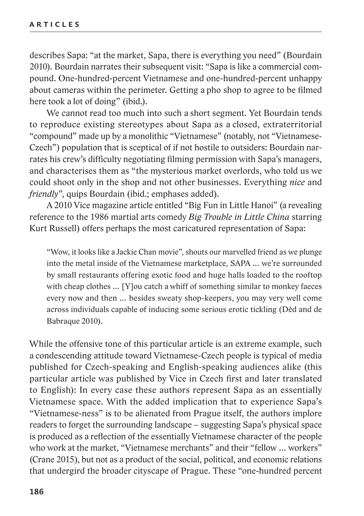describes Sapa: "at the market, Sapa, there is everything you need" (Bourdain 2010). Bourdain narrates their subsequent visit: "Sapa is like a commercial compound. One-hundred-percent Vietnamese and one-hundred-percent unhappy about cameras within the perimeter. Getting a pho shop to agree to be filmed here took a lot of doing" (ibid.).

We cannot read too much into such a short segment. Yet Bourdain tends to reproduce existing stereotypes about Sapa as a closed, extraterritorial "compound" made up by a monolithic "Vietnamese" (notably, not "Vietnamese-Czech") population that is sceptical of if not hostile to outsiders: Bourdain narrates his crew's difficulty negotiating filming permission with Sapa's managers, and characterises them as "the mysterious market overlords, who told us we could shoot only in the shop and not other businesses. Everything *nice* and *friendly*", quips Bourdain (ibid.; emphases added).

A 2010 Vice magazine article entitled "Big Fun in Little Hanoi" (a revealing reference to the 1986 martial arts comedy *Big Trouble in Little China* starring Kurt Russell) offers perhaps the most caricatured representation of Sapa:

"Wow, it looks like a Jackie Chan movie", shouts our marvelled friend as we plunge into the metal inside of the Vietnamese marketplace, SAPA … we're surrounded by small restaurants offering exotic food and huge halls loaded to the rooftop with cheap clothes ... [Y] ou catch a whiff of something similar to monkey faeces every now and then … besides sweaty shop-keepers, you may very well come across individuals capable of inducing some serious erotic tickling (Děd and de Babraque 2010).

While the offensive tone of this particular article is an extreme example, such a condescending attitude toward Vietnamese-Czech people is typical of media published for Czech-speaking and English-speaking audiences alike (this particular article was published by Vice in Czech first and later translated to English): In every case these authors represent Sapa as an essentially Vietnamese space. With the added implication that to experience Sapa's "Vietnamese-ness" is to be alienated from Prague itself, the authors implore readers to forget the surrounding landscape – suggesting Sapa's physical space is produced as a reflection of the essentially Vietnamese character of the people who work at the market, "Vietnamese merchants" and their "fellow … workers" (Crane 2015), but not as a product of the social, political, and economic relations that undergird the broader cityscape of Prague. These "one-hundred percent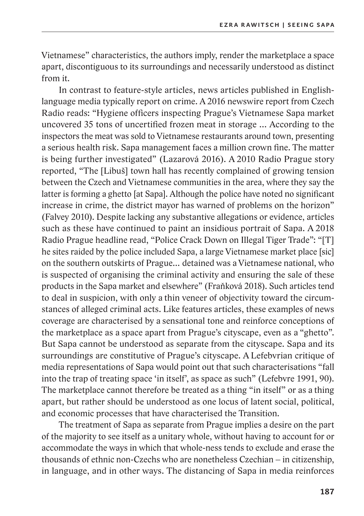Vietnamese" characteristics, the authors imply, render the marketplace a space apart, discontiguous to its surroundings and necessarily understood as distinct from it.

In contrast to feature-style articles, news articles published in Englishlanguage media typically report on crime. A 2016 newswire report from Czech Radio reads: "Hygiene officers inspecting Prague's Vietnamese Sapa market uncovered 35 tons of uncertified frozen meat in storage … According to the inspectors the meat was sold to Vietnamese restaurants around town, presenting a serious health risk. Sapa management faces a million crown fine. The matter is being further investigated" (Lazarová 2016). A 2010 Radio Prague story reported, "The [Libuš] town hall has recently complained of growing tension between the Czech and Vietnamese communities in the area, where they say the latter is forming a ghetto [at Sapa]. Although the police have noted no significant increase in crime, the district mayor has warned of problems on the horizon" (Falvey 2010). Despite lacking any substantive allegations or evidence, articles such as these have continued to paint an insidious portrait of Sapa. A 2018 Radio Prague headline read, "Police Crack Down on Illegal Tiger Trade": "[T] he sites raided by the police included Sapa, a large Vietnamese market place [sic] on the southern outskirts of Prague… detained was a Vietnamese national, who is suspected of organising the criminal activity and ensuring the sale of these products in the Sapa market and elsewhere" (Fraňková 2018). Such articles tend to deal in suspicion, with only a thin veneer of objectivity toward the circumstances of alleged criminal acts. Like features articles, these examples of news coverage are characterised by a sensational tone and reinforce conceptions of the marketplace as a space apart from Prague's cityscape, even as a "ghetto". But Sapa cannot be understood as separate from the cityscape. Sapa and its surroundings are constitutive of Prague's cityscape. A Lefebvrian critique of media representations of Sapa would point out that such characterisations "fall into the trap of treating space 'in itself', as space as such" (Lefebvre 1991, 90). The marketplace cannot therefore be treated as a thing "in itself" or as a thing apart, but rather should be understood as one locus of latent social, political, and economic processes that have characterised the Transition.

The treatment of Sapa as separate from Prague implies a desire on the part of the majority to see itself as a unitary whole, without having to account for or accommodate the ways in which that whole-ness tends to exclude and erase the thousands of ethnic non-Czechs who are nonetheless Czechian – in citizenship, in language, and in other ways. The distancing of Sapa in media reinforces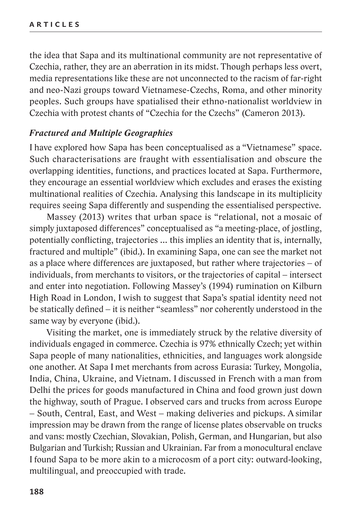the idea that Sapa and its multinational community are not representative of Czechia, rather, they are an aberration in its midst. Though perhaps less overt, media representations like these are not unconnected to the racism of far-right and neo-Nazi groups toward Vietnamese-Czechs, Roma, and other minority peoples. Such groups have spatialised their ethno-nationalist worldview in Czechia with protest chants of "Czechia for the Czechs" (Cameron 2013).

### *Fractured and Multiple Geographies*

I have explored how Sapa has been conceptualised as a "Vietnamese" space. Such characterisations are fraught with essentialisation and obscure the overlapping identities, functions, and practices located at Sapa. Furthermore, they encourage an essential worldview which excludes and erases the existing multinational realities of Czechia. Analysing this landscape in its multiplicity requires seeing Sapa differently and suspending the essentialised perspective.

Massey (2013) writes that urban space is "relational, not a mosaic of simply juxtaposed differences" conceptualised as "a meeting-place, of jostling, potentially conflicting, trajectories … this implies an identity that is, internally, fractured and multiple" (ibid.). In examining Sapa, one can see the market not as a place where differences are juxtaposed, but rather where trajectories – of individuals, from merchants to visitors, or the trajectories of capital – intersect and enter into negotiation. Following Massey's (1994) rumination on Kilburn High Road in London, I wish to suggest that Sapa's spatial identity need not be statically defined – it is neither "seamless" nor coherently understood in the same way by everyone (ibid.).

Visiting the market, one is immediately struck by the relative diversity of individuals engaged in commerce. Czechia is 97% ethnically Czech; yet within Sapa people of many nationalities, ethnicities, and languages work alongside one another. At Sapa I met merchants from across Eurasia: Turkey, Mongolia, India, China, Ukraine, and Vietnam. I discussed in French with a man from Delhi the prices for goods manufactured in China and food grown just down the highway, south of Prague. I observed cars and trucks from across Europe – South, Central, East, and West – making deliveries and pickups. A similar impression may be drawn from the range of license plates observable on trucks and vans: mostly Czechian, Slovakian, Polish, German, and Hungarian, but also Bulgarian and Turkish; Russian and Ukrainian. Far from a monocultural enclave I found Sapa to be more akin to a microcosm of a port city: outward-looking, multilingual, and preoccupied with trade.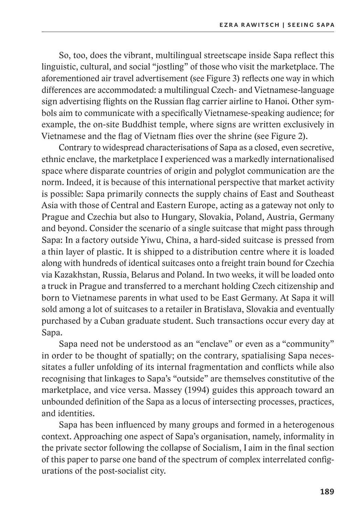So, too, does the vibrant, multilingual streetscape inside Sapa reflect this linguistic, cultural, and social "jostling" of those who visit the marketplace. The aforementioned air travel advertisement (see Figure 3) reflects one way in which differences are accommodated: a multilingual Czech- and Vietnamese-language sign advertising flights on the Russian flag carrier airline to Hanoi. Other symbols aim to communicate with a specifically Vietnamese-speaking audience; for example, the on-site Buddhist temple, where signs are written exclusively in Vietnamese and the flag of Vietnam flies over the shrine (see Figure 2).

Contrary to widespread characterisations of Sapa as a closed, even secretive, ethnic enclave, the marketplace I experienced was a markedly internationalised space where disparate countries of origin and polyglot communication are the norm. Indeed, it is because of this international perspective that market activity is possible: Sapa primarily connects the supply chains of East and Southeast Asia with those of Central and Eastern Europe, acting as a gateway not only to Prague and Czechia but also to Hungary, Slovakia, Poland, Austria, Germany and beyond. Consider the scenario of a single suitcase that might pass through Sapa: In a factory outside Yiwu, China, a hard-sided suitcase is pressed from a thin layer of plastic. It is shipped to a distribution centre where it is loaded along with hundreds of identical suitcases onto a freight train bound for Czechia via Kazakhstan, Russia, Belarus and Poland. In two weeks, it will be loaded onto a truck in Prague and transferred to a merchant holding Czech citizenship and born to Vietnamese parents in what used to be East Germany. At Sapa it will sold among a lot of suitcases to a retailer in Bratislava, Slovakia and eventually purchased by a Cuban graduate student. Such transactions occur every day at Sapa.

Sapa need not be understood as an "enclave" or even as a "community" in order to be thought of spatially; on the contrary, spatialising Sapa necessitates a fuller unfolding of its internal fragmentation and conflicts while also recognising that linkages to Sapa's "outside" are themselves constitutive of the marketplace, and vice versa. Massey (1994) guides this approach toward an unbounded definition of the Sapa as a locus of intersecting processes, practices, and identities.

Sapa has been influenced by many groups and formed in a heterogenous context. Approaching one aspect of Sapa's organisation, namely, informality in the private sector following the collapse of Socialism, I aim in the final section of this paper to parse one band of the spectrum of complex interrelated configurations of the post-socialist city.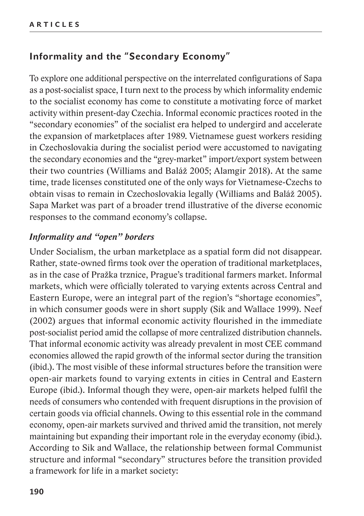# **Informality and the "Secondary Economy"**

To explore one additional perspective on the interrelated configurations of Sapa as a post-socialist space, I turn next to the process by which informality endemic to the socialist economy has come to constitute a motivating force of market activity within present-day Czechia. Informal economic practices rooted in the "secondary economies" of the socialist era helped to undergird and accelerate the expansion of marketplaces after 1989. Vietnamese guest workers residing in Czechoslovakia during the socialist period were accustomed to navigating the secondary economies and the "grey-market" import/export system between their two countries (Williams and Baláž 2005; Alamgir 2018). At the same time, trade licenses constituted one of the only ways for Vietnamese-Czechs to obtain visas to remain in Czechoslovakia legally (Williams and Baláž 2005). Sapa Market was part of a broader trend illustrative of the diverse economic responses to the command economy's collapse.

# *Informality and "open" borders*

Under Socialism, the urban marketplace as a spatial form did not disappear. Rather, state-owned firms took over the operation of traditional marketplaces, as in the case of Pražka trznice, Prague's traditional farmers market. Informal markets, which were officially tolerated to varying extents across Central and Eastern Europe, were an integral part of the region's "shortage economies", in which consumer goods were in short supply (Sik and Wallace 1999). Neef (2002) argues that informal economic activity flourished in the immediate post-socialist period amid the collapse of more centralized distribution channels. That informal economic activity was already prevalent in most CEE command economies allowed the rapid growth of the informal sector during the transition (ibid.). The most visible of these informal structures before the transition were open-air markets found to varying extents in cities in Central and Eastern Europe (ibid.). Informal though they were, open-air markets helped fulfil the needs of consumers who contended with frequent disruptions in the provision of certain goods via official channels. Owing to this essential role in the command economy, open-air markets survived and thrived amid the transition, not merely maintaining but expanding their important role in the everyday economy (ibid.). According to Sik and Wallace, the relationship between formal Communist structure and informal "secondary" structures before the transition provided a framework for life in a market society: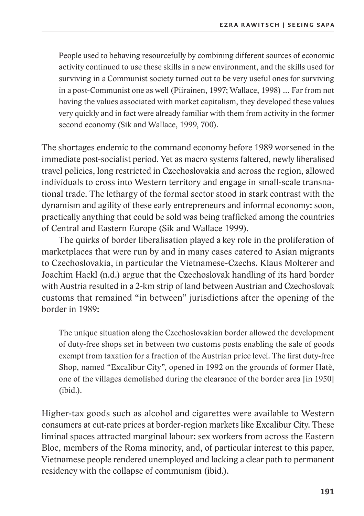People used to behaving resourcefully by combining different sources of economic activity continued to use these skills in a new environment, and the skills used for surviving in a Communist society turned out to be very useful ones for surviving in a post-Communist one as well (Piirainen, 1997; Wallace, 1998) … Far from not having the values associated with market capitalism, they developed these values very quickly and in fact were already familiar with them from activity in the former second economy (Sik and Wallace, 1999, 700).

The shortages endemic to the command economy before 1989 worsened in the immediate post-socialist period. Yet as macro systems faltered, newly liberalised travel policies, long restricted in Czechoslovakia and across the region, allowed individuals to cross into Western territory and engage in small-scale transnational trade. The lethargy of the formal sector stood in stark contrast with the dynamism and agility of these early entrepreneurs and informal economy: soon, practically anything that could be sold was being trafficked among the countries of Central and Eastern Europe (Sik and Wallace 1999).

The quirks of border liberalisation played a key role in the proliferation of marketplaces that were run by and in many cases catered to Asian migrants to Czechoslovakia, in particular the Vietnamese-Czechs. Klaus Molterer and Joachim Hackl (n.d.) argue that the Czechoslovak handling of its hard border with Austria resulted in a 2-km strip of land between Austrian and Czechoslovak customs that remained "in between" jurisdictions after the opening of the border in 1989:

The unique situation along the Czechoslovakian border allowed the development of duty-free shops set in between two customs posts enabling the sale of goods exempt from taxation for a fraction of the Austrian price level. The first duty-free Shop, named "Excalibur City", opened in 1992 on the grounds of former Hatě, one of the villages demolished during the clearance of the border area [in 1950] (ibid.).

Higher-tax goods such as alcohol and cigarettes were available to Western consumers at cut-rate prices at border-region markets like Excalibur City. These liminal spaces attracted marginal labour: sex workers from across the Eastern Bloc, members of the Roma minority, and, of particular interest to this paper, Vietnamese people rendered unemployed and lacking a clear path to permanent residency with the collapse of communism (ibid.).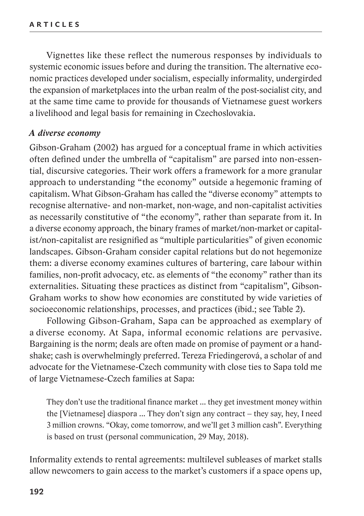Vignettes like these reflect the numerous responses by individuals to systemic economic issues before and during the transition. The alternative economic practices developed under socialism, especially informality, undergirded the expansion of marketplaces into the urban realm of the post-socialist city, and at the same time came to provide for thousands of Vietnamese guest workers a livelihood and legal basis for remaining in Czechoslovakia.

#### *A diverse economy*

Gibson-Graham (2002) has argued for a conceptual frame in which activities often defined under the umbrella of "capitalism" are parsed into non-essential, discursive categories. Their work offers a framework for a more granular approach to understanding "the economy" outside a hegemonic framing of capitalism. What Gibson-Graham has called the "diverse economy" attempts to recognise alternative- and non-market, non-wage, and non-capitalist activities as necessarily constitutive of "the economy", rather than separate from it. In a diverse economy approach, the binary frames of market/non-market or capitalist/non-capitalist are resignified as "multiple particularities" of given economic landscapes. Gibson-Graham consider capital relations but do not hegemonize them: a diverse economy examines cultures of bartering, care labour within families, non-profit advocacy, etc. as elements of "the economy" rather than its externalities. Situating these practices as distinct from "capitalism", Gibson-Graham works to show how economies are constituted by wide varieties of socioeconomic relationships, processes, and practices (ibid.; see Table 2).

Following Gibson-Graham, Sapa can be approached as exemplary of a diverse economy. At Sapa, informal economic relations are pervasive. Bargaining is the norm; deals are often made on promise of payment or a handshake; cash is overwhelmingly preferred. Tereza Friedingerová, a scholar of and advocate for the Vietnamese-Czech community with close ties to Sapa told me of large Vietnamese-Czech families at Sapa:

They don't use the traditional finance market ... they get investment money within the [Vietnamese] diaspora ... They don't sign any contract – they say, hey, I need 3 million crowns. "Okay, come tomorrow, and we'll get 3 million cash". Everything is based on trust (personal communication, 29 May, 2018).

Informality extends to rental agreements: multilevel subleases of market stalls allow newcomers to gain access to the market's customers if a space opens up,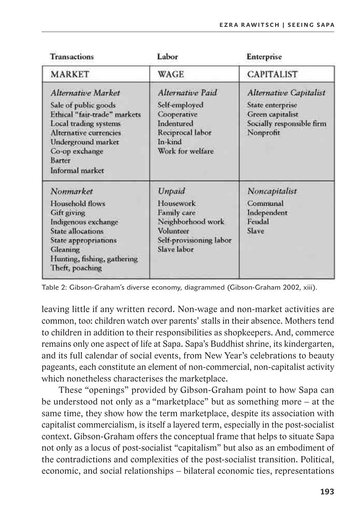| <b>Transactions</b>                                                                                                                                                                                | Labor                                                                                                             | Enterprise                                                                                                      |
|----------------------------------------------------------------------------------------------------------------------------------------------------------------------------------------------------|-------------------------------------------------------------------------------------------------------------------|-----------------------------------------------------------------------------------------------------------------|
| <b>MARKET</b>                                                                                                                                                                                      | WAGE                                                                                                              | <b>CAPITALIST</b>                                                                                               |
| Alternative Market<br>Sale of public goods<br>Ethical "fair-trade" markets<br>Local trading systems<br>Alternative currencies<br>Underground market<br>Co-op exchange<br>Barter<br>Informal market | Alternative Paid<br>Self-employed<br>Cooperative<br>Indentured<br>Reciprocal labor<br>In-kind<br>Work for welfare | <b>Alternative Capitalist</b><br>State enterprise<br>Green capitalist<br>Socially responsible firm<br>Nonprofit |
| Nonmarket<br>Household flows<br>Gift giving<br>Indigenous exchange<br>State allocations<br>State appropriations<br>Gleaning<br>Hunting, fishing, gathering<br>Theft, poaching                      | Unpaid<br>Housework<br>Family care<br>Neighborhood work<br>Volunteer<br>Self-provisioning labor<br>Slave labor    | Noncapitalist<br>Communal<br>Independent<br>Fendal<br>Slave                                                     |

Table 2: Gibson-Graham's diverse economy, diagrammed (Gibson-Graham 2002, xiii).

leaving little if any written record. Non-wage and non-market activities are common, too: children watch over parents' stalls in their absence. Mothers tend to children in addition to their responsibilities as shopkeepers. And, commerce remains only one aspect of life at Sapa. Sapa's Buddhist shrine, its kindergarten, and its full calendar of social events, from New Year's celebrations to beauty pageants, each constitute an element of non-commercial, non-capitalist activity which nonetheless characterises the marketplace.

These "openings" provided by Gibson-Graham point to how Sapa can be understood not only as a "marketplace" but as something more – at the same time, they show how the term marketplace, despite its association with capitalist commercialism, is itself a layered term, especially in the post-socialist context. Gibson-Graham offers the conceptual frame that helps to situate Sapa not only as a locus of post-socialist "capitalism" but also as an embodiment of the contradictions and complexities of the post-socialist transition. Political, economic, and social relationships – bilateral economic ties, representations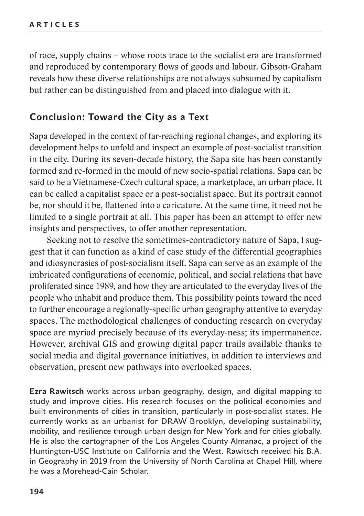of race, supply chains – whose roots trace to the socialist era are transformed and reproduced by contemporary flows of goods and labour. Gibson-Graham reveals how these diverse relationships are not always subsumed by capitalism but rather can be distinguished from and placed into dialogue with it.

# **Conclusion: Toward the City as a Text**

Sapa developed in the context of far-reaching regional changes, and exploring its development helps to unfold and inspect an example of post-socialist transition in the city. During its seven-decade history, the Sapa site has been constantly formed and re-formed in the mould of new socio-spatial relations. Sapa can be said to be a Vietnamese-Czech cultural space, a marketplace, an urban place. It can be called a capitalist space or a post-socialist space. But its portrait cannot be, nor should it be, flattened into a caricature. At the same time, it need not be limited to a single portrait at all. This paper has been an attempt to offer new insights and perspectives, to offer another representation.

Seeking not to resolve the sometimes-contradictory nature of Sapa, I suggest that it can function as a kind of case study of the differential geographies and idiosyncrasies of post-socialism itself. Sapa can serve as an example of the imbricated configurations of economic, political, and social relations that have proliferated since 1989, and how they are articulated to the everyday lives of the people who inhabit and produce them. This possibility points toward the need to further encourage a regionally-specific urban geography attentive to everyday spaces. The methodological challenges of conducting research on everyday space are myriad precisely because of its everyday-ness; its impermanence. However, archival GIS and growing digital paper trails available thanks to social media and digital governance initiatives, in addition to interviews and observation, present new pathways into overlooked spaces.

**Ezra Rawitsch** works across urban geography, design, and digital mapping to study and improve cities. His research focuses on the political economies and built environments of cities in transition, particularly in post-socialist states. He currently works as an urbanist for DRAW Brooklyn, developing sustainability, mobility, and resilience through urban design for New York and for cities globally. He is also the cartographer of the Los Angeles County Almanac, a project of the Huntington-USC Institute on California and the West. Rawitsch received his B.A. in Geography in 2019 from the University of North Carolina at Chapel Hill, where he was a Morehead-Cain Scholar.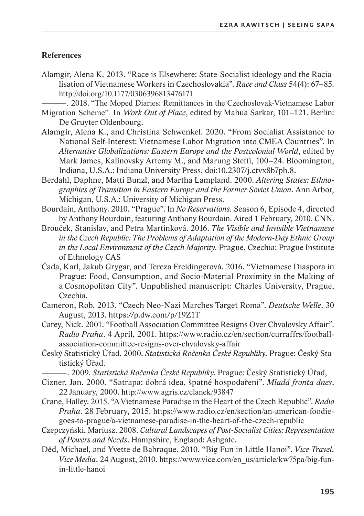#### **References**

Alamgir, Alena K. 2013. "Race is Elsewhere: State-Socialist ideology and the Racialisation of Vietnamese Workers in Czechoslovakia". Race and Class 54(4): 67–85. http://doi.org/10.1177/0306396813476171

-. 2018. "The Moped Diaries: Remittances in the Czechoslovak-Vietnamese Labor

- Migration Scheme". In Work Out of Place, edited by Mahua Sarkar, 101-121. Berlin: De Gruyter Oldenbourg.
- Alamgir, Alena K., and Christina Schwenkel, 2020, "From Socialist Assistance to National Self-Interest: Vietnamese Labor Migration into CMEA Countries". In Alternative Globalizations: Eastern Europe and the Postcolonial World, edited by Mark James, Kalinovsky Artemy M., and Marung Steffi, 100-24. Bloomington, Indiana, U.S.A.: Indiana University Press. doi:10.2307/j.ctvx8b7ph.8.
- Berdahl, Daphne, Matti Bunzl, and Martha Lampland. 2000. Altering States: Ethnographies of Transition in Eastern Europe and the Former Soviet Union. Ann Arbor, Michigan, U.S.A.: University of Michigan Press.
- Bourdain, Anthony. 2010. "Prague". In No Reservations. Season 6, Episode 4, directed by Anthony Bourdain, featuring Anthony Bourdain. Aired 1 February, 2010. CNN.
- Brouček, Stanislay, and Petra Martínková, 2016. The Visible and Invisible Vietnamese in the Czech Republic: The Problems of Adaptation of the Modern-Day Ethnic Group in the Local Environment of the Czech Majority. Prague, Czechia: Prague Institute of Ethnology CAS
- Cada, Karl, Jakub Grygar, and Tereza Freidingerová. 2016. "Vietnamese Diaspora in Prague: Food, Consumption, and Socio-Material Proximity in the Making of a Cosmopolitan City". Unpublished manuscript: Charles University, Prague, Czechia.
- Cameron, Rob. 2013. "Czech Neo-Nazi Marches Target Roma". Deutsche Welle. 30 August, 2013. https://p.dw.com/p/19Z1T
- Carey, Nick. 2001. "Football Association Committee Resigns Over Chvalovsky Affair". Radio Praha. 4 April, 2001. https://www.radio.cz/en/section/curraffrs/footballassociation-committee-resigns-over-chyalovsky-affair
- Český Statistický Úřad. 2000. Statistická Ročenka České Republiky. Prague: Český Statistický Úřad.
	- –. 2009. *Statistická Ročenka České Republiky*. Prague: Český Statistický Úřad,
- Cizner, Jan. 2000. "Satrapa: dobrá idea, špatné hospodaření". Mladá fronta dnes. 22 January, 2000. http://www.agris.cz/clanek/93847
- Crane, Halley. 2015. "A Vietnamese Paradise in the Heart of the Czech Republic". Radio Praha. 28 February, 2015. https://www.radio.cz/en/section/an-american-foodiegoes-to-prague/a-vietnamese-paradise-in-the-heart-of-the-czech-republic
- Czepczyński, Mariusz. 2008. Cultural Landscapes of Post-Socialist Cities: Representation of Powers and Needs. Hampshire, England: Ashgate.
- Děd, Michael, and Yvette de Babraque. 2010. "Big Fun in Little Hanoi". Vice Travel. Vice Media. 24 August, 2010. https://www.vice.com/en\_us/article/kw75pa/big-funin-little-hanoi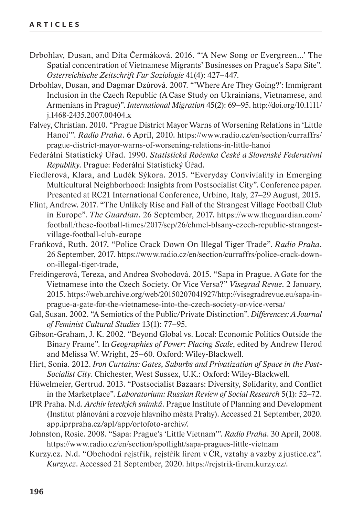- Drbohlav, Dusan, and Dita Čermáková. 2016. "'A New Song or Evergreen...' The Spatial concentration of Vietnamese Migrants' Businesses on Prague's Sapa Site". *Osterreichische Zeitschrift Fur Soziologie* 41(4): 427–447.
- Drbohlav, Dusan, and Dagmar Dzúrová. 2007. "'Where Are They Going?': Immigrant Inclusion in the Czech Republic (A Case Study on Ukrainians, Vietnamese, and Armenians in Prague)". *International Migration* 45(2): 69–95. http://doi.org/10.1111/ j.1468-2435.2007.00404.x
- Falvey, Christian. 2010. "Prague District Mayor Warns of Worsening Relations in 'Little Hanoi'". *Radio Praha*. 6 April, 2010. https://www.radio.cz/en/section/curraffrs/ prague-district-mayor-warns-of-worsening-relations-in-little-hanoi
- Federální Statistický Úřad. 1990. *Statistická Ročenka České a Slovenské Federativní Republiky.* Prague: Federální Statistický Úřad.
- Fiedlerová, Klara, and Luděk Sýkora. 2015. "Everyday Conviviality in Emerging Multicultural Neighborhood: Insights from Postsocialist City". Conference paper. Presented at RC21 International Conference, Urbino, Italy, 27–29 August, 2015.
- Flint, Andrew. 2017. "The Unlikely Rise and Fall of the Strangest Village Football Club in Europe". *The Guardian*. 26 September, 2017. https://www.theguardian.com/ football/these-football-times/2017/sep/26/chmel-blsany-czech-republic-strangestvillage-football-club-europe
- Fraňková, Ruth. 2017. "Police Crack Down On Illegal Tiger Trade". *Radio Praha*. 26 September, 2017. https://www.radio.cz/en/section/curraffrs/police-crack-downon-illegal-tiger-trade,
- Freidingerová, Tereza, and Andrea Svobodová. 2015. "Sapa in Prague. A Gate for the Vietnamese into the Czech Society. Or Vice Versa?" *Visegrad Revue*. 2 January, 2015. https://web.archive.org/web/20150207041927/http://visegradrevue.eu/sapa-inprague-a-gate-for-the-vietnamese-into-the-czech-society-or-vice-versa/
- Gal, Susan. 2002. "A Semiotics of the Public/Private Distinction". *Differences: A Journal of Feminist Cultural Studies* 13(1): 77–95.
- Gibson-Graham, J. K. 2002. "Beyond Global vs. Local: Economic Politics Outside the Binary Frame". In *Geographies of Power: Placing Scale*, edited by Andrew Herod and Melissa W. Wright, 25–60. Oxford: Wiley-Blackwell.
- Hirt, Sonia. 2012. *Iron Curtains: Gates, Suburbs and Privatization of Space in the Post-Socialist City.* Chichester, West Sussex, U.K.: Oxford: Wiley-Blackwell.
- Hüwelmeier, Gertrud. 2013. "Postsocialist Bazaars: Diversity, Solidarity, and Conflict in the Marketplace". *Laboratorium: Russian Review of Social Research* 5(1): 52–72.
- IPR Praha. N.d. *Archiv leteckých snímků*. Prague Institute of Planning and Development (Institut plánování a rozvoje hlavního města Prahy). Accessed 21 September, 2020. app.iprpraha.cz/apl/app/ortofoto-archiv/.
- Johnston, Rosie. 2008. "Sapa: Prague's 'Little Vietnam'". *Radio Praha*. 30 April, 2008. https://www.radio.cz/en/section/spotlight/sapa-pragues-little-vietnam
- Kurzy.cz. N.d. "Obchodní rejstřík, rejstřík firem v ČR, vztahy a vazby z justice.cz". *Kurzy.cz*. Accessed 21 September, 2020. https://rejstrik-firem.kurzy.cz/*.*